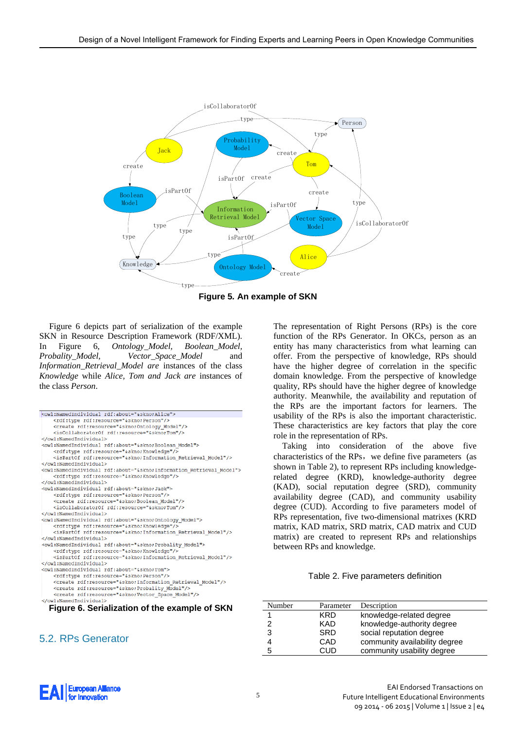

**Figure 5***.* **An example of SKN**

Figure 6 depicts part of serialization of the example SKN in Resource Description Framework (RDF/XML). In Figure 6, *Ontology\_Model, Boolean\_Model, Probality\_Model, Vector\_Space\_Model* and *Information\_Retrieval\_Model are* instances of the class *Knowledge* while *Alice, Tom and Jack are* instances of the class *Person*.

|                                               | <owl:namedindividual rdf:about="&amp;skno;Alice"></owl:namedindividual>                       |  |  |
|-----------------------------------------------|-----------------------------------------------------------------------------------------------|--|--|
|                                               | <rdf:type rdf:resource="&amp;skno;Person"></rdf:type>                                         |  |  |
|                                               | <create rdf:resource="&amp;skno;Ontology Model"></create>                                     |  |  |
|                                               | <iscollaboratorof rdf:resource="&amp;skno;Tom"></iscollaboratorof>                            |  |  |
|                                               |                                                                                               |  |  |
|                                               | <owl:namedindividual rdf:about="&amp;skno;Boolean Model"></owl:namedindividual>               |  |  |
|                                               | <rdf:type rdf:resource="&amp;skno;Knowledge"></rdf:type>                                      |  |  |
|                                               | <ispartof rdf:resource="&amp;skno;Information Retrieval Model"></ispartof>                    |  |  |
|                                               |                                                                                               |  |  |
|                                               | <owl:namedindividual rdf:about="&amp;skno;Information Retrieval Model"></owl:namedindividual> |  |  |
|                                               | <rdf:type rdf:resource="&amp;skno;Knowledge"></rdf:type>                                      |  |  |
|                                               |                                                                                               |  |  |
|                                               | <owl:namedindividual rdf:about="&amp;skno;Jack"></owl:namedindividual>                        |  |  |
|                                               | <rdf:type rdf:resource="&amp;skno;Person"></rdf:type>                                         |  |  |
|                                               | <create rdf:resource="&amp;skno;Boolean Model"></create>                                      |  |  |
|                                               | <iscollaboratorof rdf:resource="&amp;skno:Tom"></iscollaboratorof>                            |  |  |
|                                               |                                                                                               |  |  |
|                                               | <owl:namedindividual rdf:about="&amp;skno;Ontology Model"></owl:namedindividual>              |  |  |
|                                               | <rdf:type rdf:resource="&amp;skno;Knowledge"></rdf:type>                                      |  |  |
|                                               | <ispartof rdf:resource="&amp;skno;Information Retrieval Model"></ispartof>                    |  |  |
|                                               |                                                                                               |  |  |
|                                               | <owl:namedindividual rdf:about="&amp;skno;Probality Model"></owl:namedindividual>             |  |  |
|                                               | <rdf:type rdf:resource="&amp;skno;Knowledge"></rdf:type>                                      |  |  |
|                                               | <ispartof rdf:resource="&amp;skno; Information Retrieval Model"></ispartof>                   |  |  |
|                                               |                                                                                               |  |  |
|                                               | <owl:namedindividual rdf:about="&amp;skno;Tom"></owl:namedindividual>                         |  |  |
|                                               | <rdf:type rdf:resource="&amp;skno;Person"></rdf:type>                                         |  |  |
|                                               | <create rdf:resource="&amp;skno;Information Retrieval Model"></create>                        |  |  |
|                                               | <create rdf:resource="&amp;skno;Probality Model"></create>                                    |  |  |
|                                               | <create rdf:resource="&amp;skno;Vector Space Model"></create>                                 |  |  |
|                                               |                                                                                               |  |  |
| Figure 6. Serialization of the example of SKN |                                                                                               |  |  |
|                                               |                                                                                               |  |  |

## 5.2. RPs Generator

The representation of Right Persons (RPs) is the core function of the RPs Generator. In OKCs, person as an entity has many characteristics from what learning can offer. From the perspective of knowledge, RPs should have the higher degree of correlation in the specific domain knowledge. From the perspective of knowledge quality, RPs should have the higher degree of knowledge authority. Meanwhile, the availability and reputation of the RPs are the important factors for learners. The usability of the RPs is also the important characteristic. These characteristics are key factors that play the core role in the representation of RPs.

Taking into consideration of the above five characteristics of the RPs, we define five parameters (as shown in Table 2), to represent RPs including knowledgerelated degree (KRD), knowledge-authority degree (KAD), social reputation degree (SRD), community availability degree (CAD), and community usability degree (CUD). According to five parameters model of RPs representation, five two-dimensional matrixes (KRD matrix, KAD matrix, SRD matrix, CAD matrix and CUD matrix) are created to represent RPs and relationships between RPs and knowledge.

## Table 2. Five parameters definition

| Number | Parameter  | Description                   |
|--------|------------|-------------------------------|
|        | KRD        | knowledge-related degree      |
|        | KAD        | knowledge-authority degree    |
| 3      | <b>SRD</b> | social reputation degree      |
|        | CAD        | community availability degree |
| 5      | חו ו:      | community usability degree    |